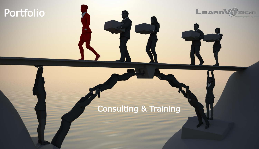# Portfolio



LEARN CLEAR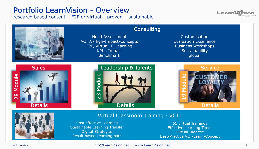#### Portfolio LearnVision - Overview

research based content – F2F or virtual – proven – sustainable



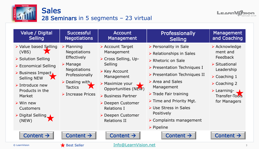<span id="page-2-0"></span>



| Value / Digital<br><b>Selling</b>                                                                                                                                                                                                                                                   | <b>Successful</b><br><b>Negotiations</b>                                                                                                                                                             | <b>Account</b><br>Management                                                                                                                                                                                                                                                    | Professionally<br><b>Selling</b>                                                                                                                                                                                                                                                                                                                                                                                       | <b>Management</b><br>and Coaching                                                                                                                                                                                           |
|-------------------------------------------------------------------------------------------------------------------------------------------------------------------------------------------------------------------------------------------------------------------------------------|------------------------------------------------------------------------------------------------------------------------------------------------------------------------------------------------------|---------------------------------------------------------------------------------------------------------------------------------------------------------------------------------------------------------------------------------------------------------------------------------|------------------------------------------------------------------------------------------------------------------------------------------------------------------------------------------------------------------------------------------------------------------------------------------------------------------------------------------------------------------------------------------------------------------------|-----------------------------------------------------------------------------------------------------------------------------------------------------------------------------------------------------------------------------|
| ▶ Value based Selling<br>(VBS)<br>▶ Solution Selling<br>▶ Economical Selling<br>> Business Impact<br><b>Selling NEW</b><br>$\triangleright$ Introduce new<br>Products in the<br>Market<br>$\triangleright$ Win new<br><b>Customers</b><br>$\triangleright$ Digital Selling<br>(NEW) | $\triangleright$ Planning<br>Negotiations<br>Effectively<br>$\triangleright$ Manage<br><b>Negotiations</b><br>Professionally<br>$\triangleright$ Dealing with<br><b>Tactics</b><br>> Increase Prices | Account Target<br>Management<br>> Cross Selling, Up-<br>Selling<br>$\triangleright$ Key Account<br>Management<br>$\triangleright$ Maximize your<br>Opportunities (NEW)<br>▶ Business Partner<br>Deepen Customer<br><b>Relations I</b><br>Deepen Customer<br><b>Relations II</b> | ▶ Personality in Sale<br>$\triangleright$ Relationships in Sales<br>▶ Rhetoric on Sale<br>▶ Presentation Techniques I<br>$\triangleright$ Presentation Techniques II<br>$\triangleright$ Area and Sales<br>Management<br>$\triangleright$ Trade Fair training<br>$\triangleright$ Time and Priority Mgt.<br>▶ Use Stress in Sales<br>Positively<br>$\triangleright$ Complaints management<br>$\triangleright$ Pipeline | > Acknowledge<br>ment and<br>Feedback<br>$\triangleright$ Situational<br>Leadership<br>$\triangleright$ Coaching 1<br>$\triangleright$ Coaching 2<br>$\triangleright$ Learning- $\square$<br>Transfer-Tools<br>for Managers |
| Content $\rightarrow$                                                                                                                                                                                                                                                               | Content $\rightarrow$                                                                                                                                                                                | Content $\rightarrow$                                                                                                                                                                                                                                                           | Content $\rightarrow$                                                                                                                                                                                                                                                                                                                                                                                                  | Content $\rightarrow$                                                                                                                                                                                                       |
| © LearnVision                                                                                                                                                                                                                                                                       | Best Seller                                                                                                                                                                                          | Info@LearnVision.net                                                                                                                                                                                                                                                            |                                                                                                                                                                                                                                                                                                                                                                                                                        |                                                                                                                                                                                                                             |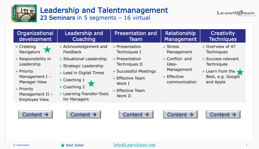<span id="page-3-0"></span>

# Leadership and Talentmanagement

23 Seminars in 5 segments – 16 virtual



| Organizational<br>development                                                                                                                                              | Leadership and<br>Coaching                                                                                                                                                                             | <b>Presentation and</b><br>Team                                                                                                                                  | Relationship<br>Management                                                                           | <b>Creativity</b><br><b>Techniques</b>                                                                                             |
|----------------------------------------------------------------------------------------------------------------------------------------------------------------------------|--------------------------------------------------------------------------------------------------------------------------------------------------------------------------------------------------------|------------------------------------------------------------------------------------------------------------------------------------------------------------------|------------------------------------------------------------------------------------------------------|------------------------------------------------------------------------------------------------------------------------------------|
| $\triangleright$ Creating<br><b>Navigators</b><br><b>X</b>                                                                                                                 | > Acknowledgement and<br>Feedback                                                                                                                                                                      | $\triangleright$ Presentation<br>Techniques I                                                                                                                    | $\triangleright$ Stress<br>Management                                                                | $\triangleright$ Overview of 47<br><b>Techniques</b>                                                                               |
| $\triangleright$ Responsibility in<br>Leadership<br>$\triangleright$ Priority<br>Management I $-$<br><b>Manager View</b><br>$\triangleright$ Priority<br>Management II $-$ | $\triangleright$ Situational Leadership<br>▶ Strategic Leadership<br>$\triangleright$ Lead in Digital Times<br>$\triangleright$ Coaching 1<br>$\triangleright$ Coaching 2<br>▶ Learning-Transfer-Tools | $\triangleright$ Presentation<br>Techniques II<br>Successful Meetings<br>$\triangleright$ Effective Team<br>Work I<br>$\triangleright$ Effective Team<br>Work II | $\triangleright$ Conflict- and<br>Idea-<br>Management<br>$\triangleright$ Effective<br>communication | ▶ Success relevant<br><b>Techniques</b><br>$\triangleright$ Learn from the $\blacktriangleright$<br>Best, e.g. Google<br>and Apple |
| <b>Employee View</b><br>Content $\rightarrow$                                                                                                                              | for Managers<br>Content $\rightarrow$                                                                                                                                                                  | Content $\rightarrow$                                                                                                                                            | Content $\rightarrow$                                                                                | Content $\rightarrow$                                                                                                              |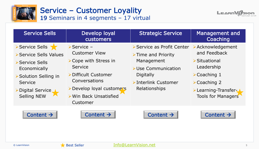<span id="page-4-0"></span>

#### Service – Customer Loyality 19 Seminars in 4 segments – 17 virtual



| <b>Service Sells</b>                                                                                                                                 | Develop loyal<br>customers                                                                                                                                                                               | <b>Strategic Service</b>                                                                                                                                         | <b>Management and</b><br>Coaching                                                                                                                                                  |
|------------------------------------------------------------------------------------------------------------------------------------------------------|----------------------------------------------------------------------------------------------------------------------------------------------------------------------------------------------------------|------------------------------------------------------------------------------------------------------------------------------------------------------------------|------------------------------------------------------------------------------------------------------------------------------------------------------------------------------------|
| > Service Sells<br>Service Sells Values<br>Service Sells<br>Economically<br>Solution Selling in<br>Service<br>>Digital Service<br><b>Selling NEW</b> | $\triangleright$ Service -<br><b>Customer View</b><br>≻ Cope with Stress in<br><b>Service</b><br>▶ Difficult Customer<br>Conversations<br>>Develop loyal customers<br>> Win Back Unsatisfied<br>Customer | ▶ Service as Profit Center<br>$\triangleright$ Time and Priority<br>Management<br>≻Use Communication<br><b>Digitally</b><br>>Interlink Customer<br>Relationships | > Acknowledgement<br>and Feedback<br>▶ Situational<br>Leadership<br>$\triangleright$ Coaching 1<br>$\triangleright$ Coaching 2<br>>Learning-Transfer-<br><b>Tools for Managers</b> |
| Content $\rightarrow$                                                                                                                                | Content $\rightarrow$                                                                                                                                                                                    | Content $\rightarrow$                                                                                                                                            | Content $\rightarrow$                                                                                                                                                              |
| © LearnVision                                                                                                                                        | <b>Best Seller</b>                                                                                                                                                                                       | Info@LearnVision.net                                                                                                                                             |                                                                                                                                                                                    |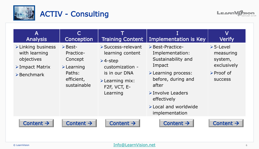<span id="page-5-0"></span>

### ACTIV - Consulting



| $\overline{\mathsf{A}}$<br><b>Analysis</b>                                                                                       | Conception                                                                                                              | <b>Training Content</b>                                                                                                                                                          | Implementation is Key                                                                                                                                                                                                               | ${\sf V}$<br><b>Verify</b>                                                                        |
|----------------------------------------------------------------------------------------------------------------------------------|-------------------------------------------------------------------------------------------------------------------------|----------------------------------------------------------------------------------------------------------------------------------------------------------------------------------|-------------------------------------------------------------------------------------------------------------------------------------------------------------------------------------------------------------------------------------|---------------------------------------------------------------------------------------------------|
| $\triangleright$ Linking business<br>with learning<br>objectives<br>$\triangleright$ Impact Matrix<br>$\triangleright$ Benchmark | $\triangleright$ Best-<br>Practice-<br>Concept<br>$\blacktriangleright$ Learning<br>Paths:<br>efficient,<br>sustainable | ▶ Success-relevant<br>learning content<br>$\triangleright$ 4-step<br>customization -<br>is in our DNA<br>$\triangleright$ Learning mix:<br>F <sub>2</sub> F, VCT, E-<br>Learning | Best-Practice-<br>Implementation:<br>Sustainability and<br>Impact<br>$\triangleright$ Learning process:<br>before, during and<br>after<br>>Involve Leaders<br>effectively<br>$\triangleright$ Local and worldwide<br>implementation | $>5$ -Level<br>measuring<br>system,<br>exclusively<br>$\triangleright$ Proof of<br><b>SUCCESS</b> |
| Content $\rightarrow$                                                                                                            | Content $\rightarrow$                                                                                                   | Content $\rightarrow$                                                                                                                                                            | Content $\rightarrow$                                                                                                                                                                                                               | Content $\rightarrow$                                                                             |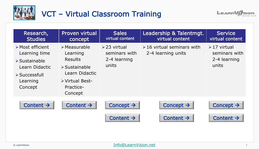<span id="page-6-0"></span>

## VCT – Virtual Classroom Training



| Research,<br><b>Studies</b>                                                                                                                               | <b>Proven virtual</b><br>concept                                                                                                                       | <b>Sales</b><br>virtual content                             | Leadership & Talentmgt.<br>virtual content            | <b>Service</b><br>virtual content                           |
|-----------------------------------------------------------------------------------------------------------------------------------------------------------|--------------------------------------------------------------------------------------------------------------------------------------------------------|-------------------------------------------------------------|-------------------------------------------------------|-------------------------------------------------------------|
| $\triangleright$ Most efficient<br>Learning time<br>$\triangleright$ Sustainable<br>Learn Didactic<br>$\triangleright$ Successfull<br>Learning<br>Concept | $\triangleright$ Measurable<br>Learning<br><b>Results</b><br>$\triangleright$ Sustainable<br>Learn Didactic<br>> Virtual Best-<br>Practice-<br>Concept | $\geq$ 23 virtual<br>seminars with<br>2-4 learning<br>units | $\geq 16$ virtual seminars with<br>2-4 learning units | $\geq 17$ virtual<br>seminars with<br>2-4 learning<br>units |
| Content $\rightarrow$                                                                                                                                     | Content $\rightarrow$                                                                                                                                  | Concept $\rightarrow$                                       | Concept $\rightarrow$                                 | Concept $\rightarrow$                                       |
|                                                                                                                                                           |                                                                                                                                                        | Content $\rightarrow$                                       | Content $\rightarrow$                                 | Content $\rightarrow$                                       |